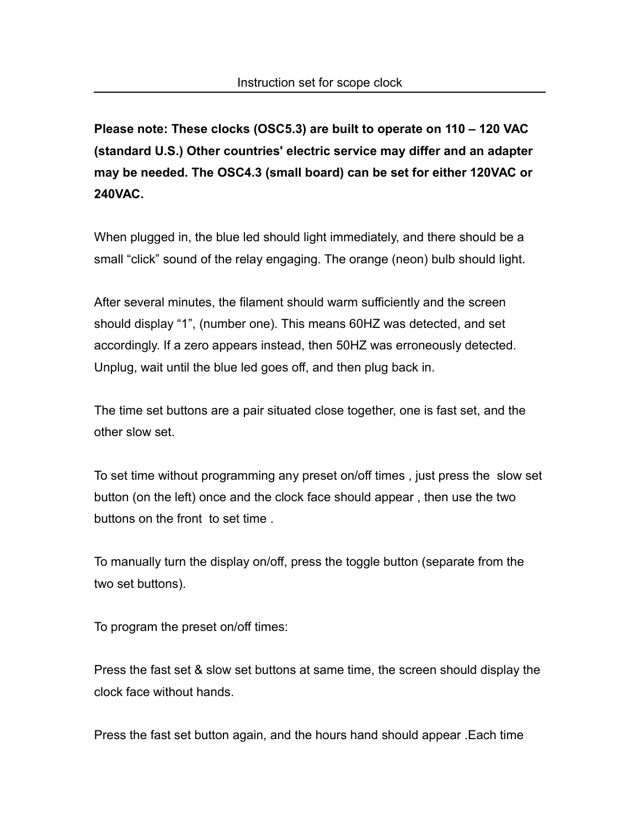**Please note: These clocks (OSC5.3) are built to operate on 110 – 120 VAC (standard U.S.) Other countries' electric service may differ and an adapter may be needed. The OSC4.3 (small board) can be set for either 120VAC or 240VAC.**

When plugged in, the blue led should light immediately, and there should be a small "click" sound of the relay engaging. The orange (neon) bulb should light.

After several minutes, the filament should warm sufficiently and the screen should display "1", (number one). This means 60HZ was detected, and set accordingly. If a zero appears instead, then 50HZ was erroneously detected. Unplug, wait until the blue led goes off, and then plug back in.

The time set buttons are a pair situated close together, one is fast set, and the other slow set.

To set time without programming any preset on/off times , just press the slow set button (on the left) once and the clock face should appear , then use the two buttons on the front to set time .

To manually turn the display on/off, press the toggle button (separate from the two set buttons).

To program the preset on/off times:

Press the fast set & slow set buttons at same time, the screen should display the clock face without hands.

Press the fast set button again, and the hours hand should appear .Each time